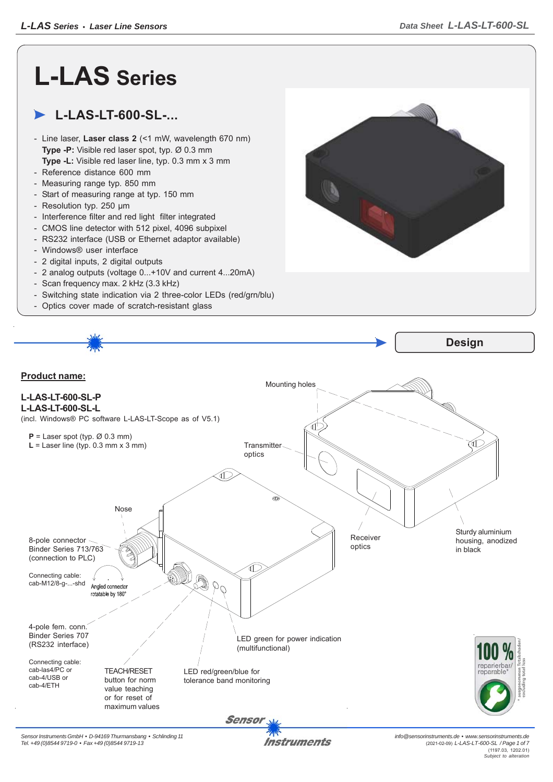## **L-LAS Series**

## **L-LAS-LT-600-SL-...**

- Line laser, **Laser class 2** (<1 mW, wavelength 670 nm) **Type -P:** Visible red laser spot, typ. Ø 0.3 mm **Type -L:** Visible red laser line, typ. 0.3 mm x 3 mm
- Reference distance 600 mm
- Measuring range typ. 850 mm
- Start of measuring range at typ. 150 mm
- Resolution typ. 250 μm
- Interference filter and red light filter integrated
- CMOS line detector with 512 pixel, 4096 subpixel
- RS232 interface (USB or Ethernet adaptor available)
- Windows® user interface
- 2 digital inputs, 2 digital outputs
- 2 analog outputs (voltage 0...+10V and current 4...20mA)
- Scan frequency max. 2 kHz (3.3 kHz)
- Switching state indication via 2 three-color LEDs (red/grn/blu)
- Optics cover made of scratch-resistant glass



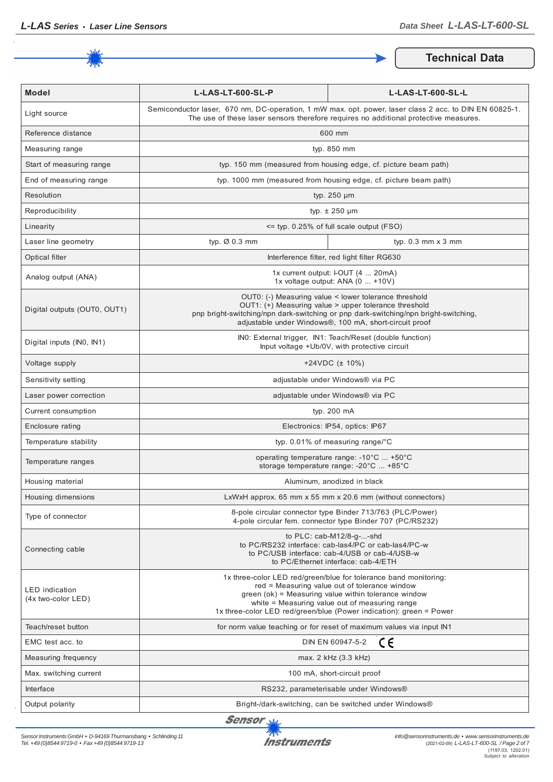

**Technical Data**

| <b>Model</b>                                | L-LAS-LT-600-SL-P                                                                                                                                                                                                                                                                                  | L-LAS-LT-600-SL-L           |
|---------------------------------------------|----------------------------------------------------------------------------------------------------------------------------------------------------------------------------------------------------------------------------------------------------------------------------------------------------|-----------------------------|
| Light source                                | Semiconductor laser, 670 nm, DC-operation, 1 mW max. opt. power, laser class 2 acc. to DIN EN 60825-1.<br>The use of these laser sensors therefore requires no additional protective measures.                                                                                                     |                             |
| Reference distance                          | 600 mm                                                                                                                                                                                                                                                                                             |                             |
| Measuring range                             | typ. 850 mm                                                                                                                                                                                                                                                                                        |                             |
| Start of measuring range                    | typ. 150 mm (measured from housing edge, cf. picture beam path)                                                                                                                                                                                                                                    |                             |
| End of measuring range                      | typ. 1000 mm (measured from housing edge, cf. picture beam path)                                                                                                                                                                                                                                   |                             |
| Resolution                                  | typ. 250 µm                                                                                                                                                                                                                                                                                        |                             |
| Reproducibility                             | typ. $\pm$ 250 µm                                                                                                                                                                                                                                                                                  |                             |
| Linearity                                   | <= typ. 0.25% of full scale output (FSO)                                                                                                                                                                                                                                                           |                             |
| Laser line geometry                         | typ. Ø 0.3 mm                                                                                                                                                                                                                                                                                      | typ. $0.3$ mm $\times$ 3 mm |
| Optical filter                              | Interference filter, red light filter RG630                                                                                                                                                                                                                                                        |                             |
| Analog output (ANA)                         | 1x current output: I-OUT (4  20mA)<br>1x voltage output: ANA (0  +10V)                                                                                                                                                                                                                             |                             |
| Digital outputs (OUT0, OUT1)                | OUT0: (-) Measuring value < lower tolerance threshold<br>OUT1: (+) Measuring value > upper tolerance threshold<br>pnp bright-switching/npn dark-switching or pnp dark-switching/npn bright-switching,<br>adjustable under Windows®, 100 mA, short-circuit proof                                    |                             |
| Digital inputs (INO, IN1)                   | INO: External trigger, IN1: Teach/Reset (double function)<br>Input voltage +Ub/0V, with protective circuit                                                                                                                                                                                         |                             |
| Voltage supply                              | $+24VDC$ ( $\pm$ 10%)                                                                                                                                                                                                                                                                              |                             |
| Sensitivity setting                         | adjustable under Windows® via PC                                                                                                                                                                                                                                                                   |                             |
| Laser power correction                      | adjustable under Windows® via PC                                                                                                                                                                                                                                                                   |                             |
| Current consumption                         | typ. 200 mA                                                                                                                                                                                                                                                                                        |                             |
| Enclosure rating                            | Electronics: IP54, optics: IP67                                                                                                                                                                                                                                                                    |                             |
| Temperature stability                       | typ. $0.01\%$ of measuring range/°C                                                                                                                                                                                                                                                                |                             |
| Temperature ranges                          | operating temperature range: -10°C  +50°C<br>storage temperature range: -20°C  +85°C                                                                                                                                                                                                               |                             |
| Housing material                            | Aluminum, anodized in black                                                                                                                                                                                                                                                                        |                             |
| Housing dimensions                          | LxWxH approx. 65 mm x 55 mm x 20.6 mm (without connectors)                                                                                                                                                                                                                                         |                             |
| Type of connector                           | 8-pole circular connector type Binder 713/763 (PLC/Power)<br>4-pole circular fem. connector type Binder 707 (PC/RS232)                                                                                                                                                                             |                             |
| Connecting cable                            | to PLC: cab-M12/8-g--shd<br>to PC/RS232 interface: cab-las4/PC or cab-las4/PC-w<br>to PC/USB interface: cab-4/USB or cab-4/USB-w<br>to PC/Ethernet interface: cab-4/ETH                                                                                                                            |                             |
| <b>LED</b> indication<br>(4x two-color LED) | 1x three-color LED red/green/blue for tolerance band monitoring:<br>red = Measuring value out of tolerance window<br>green (ok) = Measuring value within tolerance window<br>white = Measuring value out of measuring range<br>1x three-color LED red/green/blue (Power indication): green = Power |                             |
| Teach/reset button                          | for norm value teaching or for reset of maximum values via input IN1                                                                                                                                                                                                                               |                             |
| EMC test acc. to                            | ce<br>DIN EN 60947-5-2                                                                                                                                                                                                                                                                             |                             |
| Measuring frequency                         | max. 2 kHz (3.3 kHz)                                                                                                                                                                                                                                                                               |                             |
| Max. switching current                      | 100 mA, short-circuit proof                                                                                                                                                                                                                                                                        |                             |
| Interface                                   | RS232, parameterisable under Windows®                                                                                                                                                                                                                                                              |                             |
| Output polarity                             | Bright-/dark-switching, can be switched under Windows®                                                                                                                                                                                                                                             |                             |

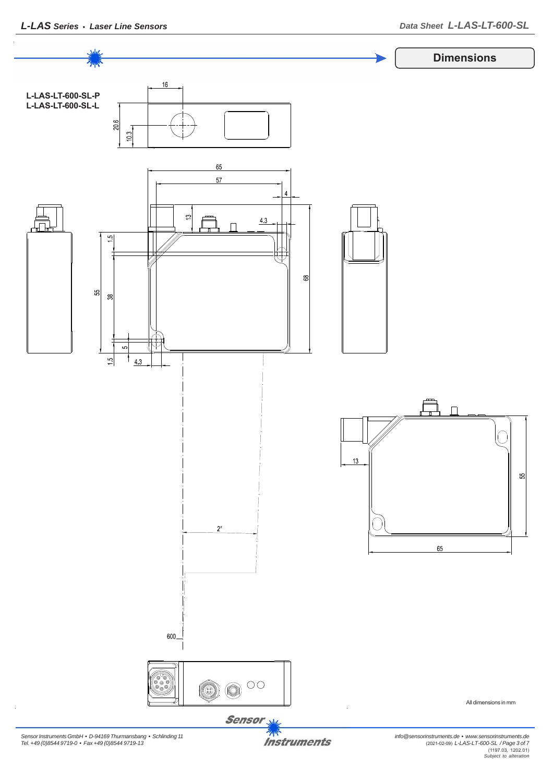

*Sensor Instruments GmbH • D-94169 Thurmansbang • Schlinding 11 Tel. +49 (0)8544 9719-0 • Fax +49 (0)8544 9719-13*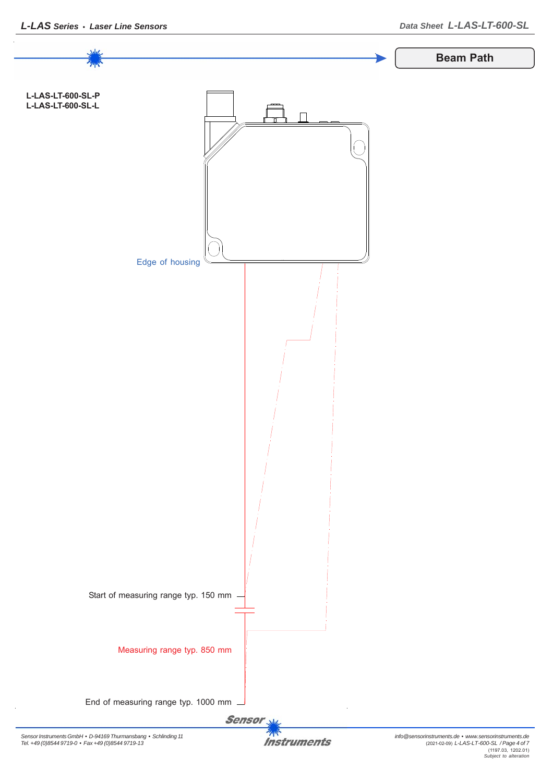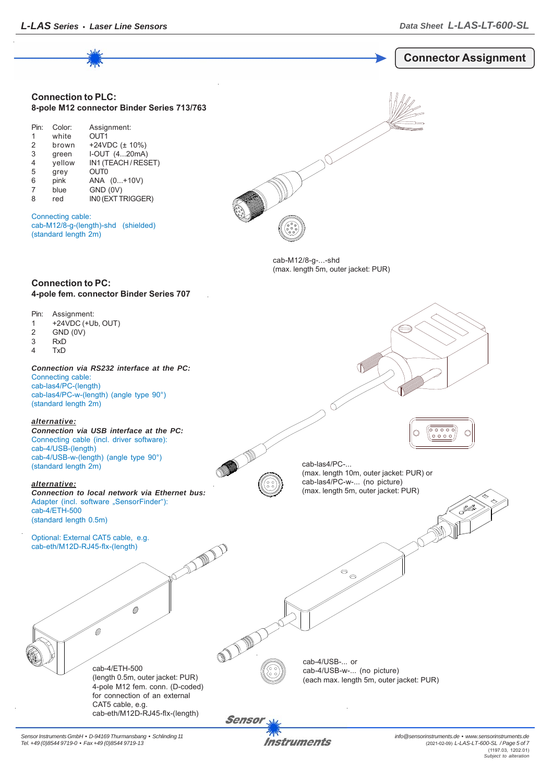

*Sensor Instruments GmbH • D-94169 Thurmansbang • Schlinding 11 Tel. +49 (0)8544 9719-0 • Fax +49 (0)8544 9719-13*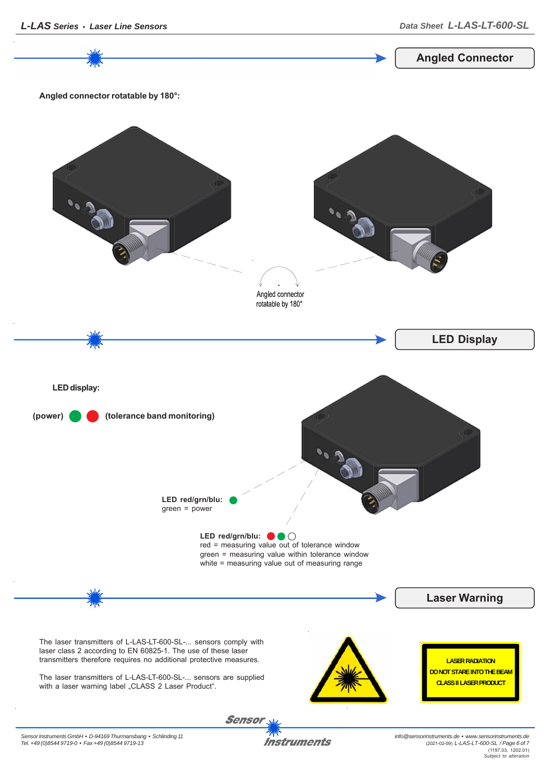Sensor